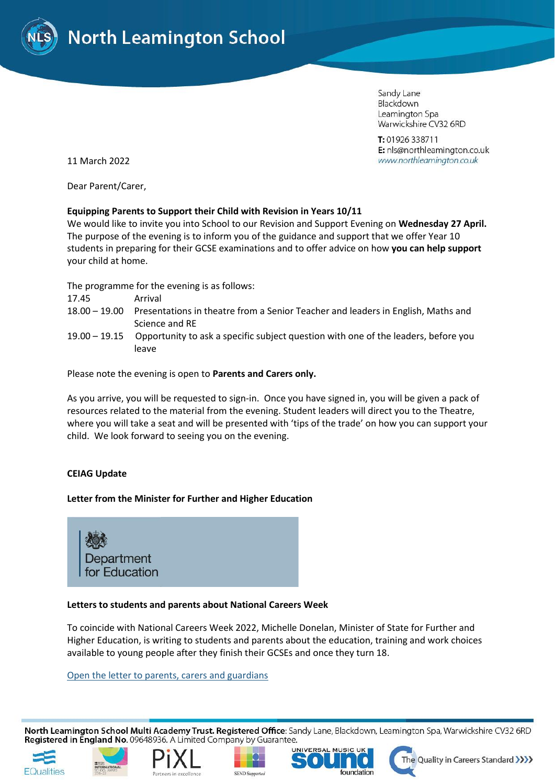

Sandy Lane Blackdown Leamington Spa Warwickshire CV32 6RD

T: 01926 338711 E: nls@northleamington.co.uk www.northleamington.co.uk

11 March 2022

Dear Parent/Carer,

## **Equipping Parents to Support their Child with Revision in Years 10/11**

We would like to invite you into School to our Revision and Support Evening on **Wednesday 27 April.**  The purpose of the evening is to inform you of the guidance and support that we offer Year 10 students in preparing for their GCSE examinations and to offer advice on how **you can help support** your child at home.

The programme for the evening is as follows:

- 17.45 Arrival
- 18.00 19.00 Presentations in theatre from a Senior Teacher and leaders in English, Maths and Science and RE
- 19.00 19.15 Opportunity to ask a specific subject question with one of the leaders, before you leave

Please note the evening is open to **Parents and Carers only.**

As you arrive, you will be requested to sign-in. Once you have signed in, you will be given a pack of resources related to the material from the evening. Student leaders will direct you to the Theatre, where you will take a seat and will be presented with 'tips of the trade' on how you can support your child. We look forward to seeing you on the evening.

# **CEIAG Update**

### **Letter from the Minister for Further and Higher Education**

**Department** for Education

### **Letters to students and parents about National Careers Week**

To coincide with National Careers Week 2022, Michelle Donelan, Minister of State for Further and Higher Education, is writing to students and parents about the education, training and work choices available to young people after they finish their GCSEs and once they turn 18.

[Open the letter to parents, carers and guardians](https://lnks.gd/l/eyJhbGciOiJIUzI1NiJ9.eyJidWxsZXRpbl9saW5rX2lkIjoxMDIsInVyaSI6ImJwMjpjbGljayIsImJ1bGxldGluX2lkIjoiMjAyMjAzMDcuNTQ0OTY2MTEiLCJ1cmwiOiJodHRwczovL2NvbnRlbnQuZ292ZGVsaXZlcnkuY29tL2F0dGFjaG1lbnRzL1VLREZFLzIwMjIvMDMvMDcvZmlsZV9hdHRhY2htZW50cy8yMDk1NDYzL01pY2hlbGxlJTIwRG9uZWxhbiUyME1QJTIwLSUyMFBhcmVudCUyN3MlMjBMZXR0ZXIlMjBmb3IlMjBOYXRpb25hbCUyMENhcmVlcnMlMjBXZWVrJTIwLSUyMEZpbmFsJTIwRkluYWwucGRmIn0.N0gRV9S1fQVondPeM7NPC4aInfkLdigOzRglMyFrvh4/s/1563082415/br/127627235207-l)

North Leamington School Multi Academy Trust. Registered Office: Sandy Lane, Blackdown, Leamington Spa, Warwickshire CV32 6RD Registered in England No. 09648936. A Limited Company by Guarantee.